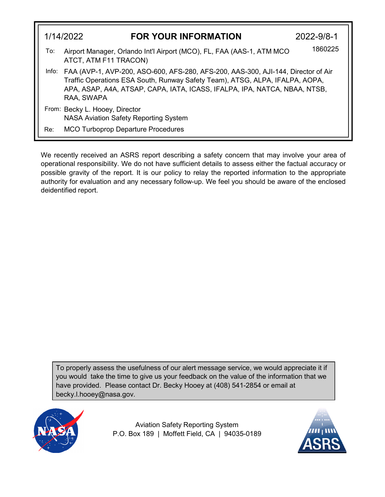|     | 1/14/2022<br><b>FOR YOUR INFORMATION</b>                                                       | 2022-9/8-1                                                                                                                                                                                                                                           |  |
|-----|------------------------------------------------------------------------------------------------|------------------------------------------------------------------------------------------------------------------------------------------------------------------------------------------------------------------------------------------------------|--|
| To: | Airport Manager, Orlando Int'l Airport (MCO), FL, FAA (AAS-1, ATM MCO<br>ATCT, ATM F11 TRACON) | 1860225                                                                                                                                                                                                                                              |  |
|     | RAA, SWAPA                                                                                     | Info: FAA (AVP-1, AVP-200, ASO-600, AFS-280, AFS-200, AAS-300, AJI-144, Director of Air<br>Traffic Operations ESA South, Runway Safety Team), ATSG, ALPA, IFALPA, AOPA,<br>APA, ASAP, A4A, ATSAP, CAPA, IATA, ICASS, IFALPA, IPA, NATCA, NBAA, NTSB, |  |
|     | From: Becky L. Hooey, Director<br><b>NASA Aviation Safety Reporting System</b>                 |                                                                                                                                                                                                                                                      |  |
| Re: | <b>MCO Turboprop Departure Procedures</b>                                                      |                                                                                                                                                                                                                                                      |  |

We recently received an ASRS report describing a safety concern that may involve your area of operational responsibility. We do not have sufficient details to assess either the factual accuracy or possible gravity of the report. It is our policy to relay the reported information to the appropriate authority for evaluation and any necessary follow-up. We feel you should be aware of the enclosed deidentified report.

To properly assess the usefulness of our alert message service, we would appreciate it if you would take the time to give us your feedback on the value of the information that we have provided. Please contact Dr. Becky Hooey at (408) 541-2854 or email at becky.l.hooey@nasa.gov.



Aviation Safety Reporting System P.O. Box 189 | Moffett Field, CA | 94035-0189